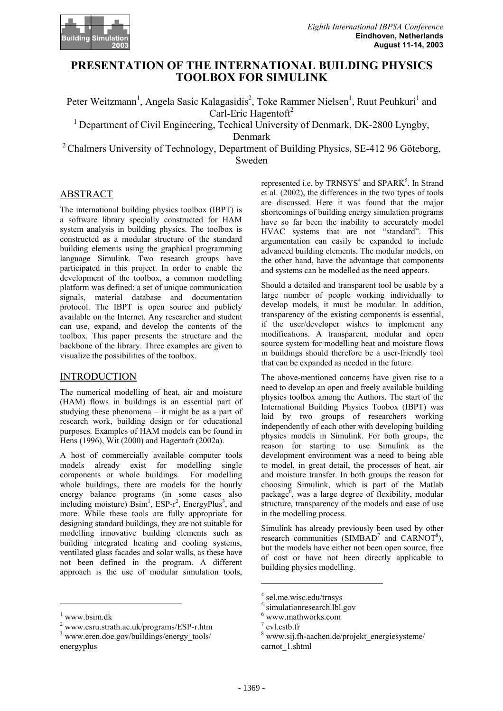

# **PRESENTATION OF THE INTERNATIONAL BUILDING PHYSICS TOOLBOX FOR SIMULINK**

Peter Weitzmann<sup>1</sup>, Angela Sasic Kalagasidis<sup>2</sup>, Toke Rammer Nielsen<sup>1</sup>, Ruut Peuhkuri<sup>1</sup> and Carl-Eric Hagentoft<sup>2</sup>

<sup>1</sup> Department of Civil Engineering, Techical University of Denmark, DK-2800 Lyngby,

Denmark

<sup>2</sup> Chalmers University of Technology, Department of Building Physics, SE-412 96 Göteborg, Sweden

# ABSTRACT

The international building physics toolbox (IBPT) is a software library specially constructed for HAM system analysis in building physics. The toolbox is constructed as a modular structure of the standard building elements using the graphical programming language Simulink. Two research groups have participated in this project. In order to enable the development of the toolbox, a common modelling platform was defined: a set of unique communication signals, material database and documentation protocol. The IBPT is open source and publicly available on the Internet. Any researcher and student can use, expand, and develop the contents of the toolbox. This paper presents the structure and the backbone of the library. Three examples are given to visualize the possibilities of the toolbox.

### **INTRODUCTION**

The numerical modelling of heat, air and moisture (HAM) flows in buildings is an essential part of studying these phenomena – it might be as a part of research work, building design or for educational purposes. Examples of HAM models can be found in Hens (1996), Wit (2000) and Hagentoft (2002a).

A host of commercially available computer tools models already exist for modelling single components or whole buildings. For modelling whole buildings, there are models for the hourly energy balance programs (in some cases also including moisture)  $\text{Bsim}^1$ ,  $\text{ESP-r}^2$ , EnergyPlus<sup>3</sup>, and more. While these tools are fully appropriate for designing standard buildings, they are not suitable for modelling innovative building elements such as building integrated heating and cooling systems, ventilated glass facades and solar walls, as these have not been defined in the program. A different approach is the use of modular simulation tools,

l

represented i.e. by  $TRNSYS<sup>4</sup>$  and  $SPARK<sup>5</sup>$ . In Strand et al. (2002), the differences in the two types of tools are discussed. Here it was found that the major shortcomings of building energy simulation programs have so far been the inability to accurately model HVAC systems that are not "standard". This argumentation can easily be expanded to include advanced building elements. The modular models, on the other hand, have the advantage that components and systems can be modelled as the need appears.

Should a detailed and transparent tool be usable by a large number of people working individually to develop models, it must be modular. In addition, transparency of the existing components is essential, if the user/developer wishes to implement any modifications. A transparent, modular and open source system for modelling heat and moisture flows in buildings should therefore be a user-friendly tool that can be expanded as needed in the future.

The above-mentioned concerns have given rise to a need to develop an open and freely available building physics toolbox among the Authors. The start of the International Building Physics Toobox (IBPT) was laid by two groups of researchers working independently of each other with developing building physics models in Simulink. For both groups, the reason for starting to use Simulink as the development environment was a need to being able to model, in great detail, the processes of heat, air and moisture transfer. In both groups the reason for choosing Simulink, which is part of the Matlab package<sup>6</sup>, was a large degree of flexibility, modular structure, transparency of the models and ease of use in the modelling process.

Simulink has already previously been used by other research communities (SIMBAD<sup>7</sup> and CARNOT<sup>8</sup>), but the models have either not been open source, free of cost or have not been directly applicable to building physics modelling.

 $\overline{\phantom{a}}$ 

<sup>&</sup>lt;sup>1</sup> www.bsim.dk  $\frac{2}{x}$ 

www.esru.strath.ac.uk/programs/ESP-r.htm <sup>3</sup>

www.eren.doe.gov/buildings/energy\_tools/ energyplus

 $\frac{4}{5}$  sel.me.wisc.edu/trnsys

<sup>&</sup>lt;sup>5</sup> simulationresearch.lbl.gov

 $6$  www.mathworks.com

 $^7$  evl.cstb.fr

www.sij.fh-aachen.de/projekt\_energiesysteme/ carnot\_1.shtml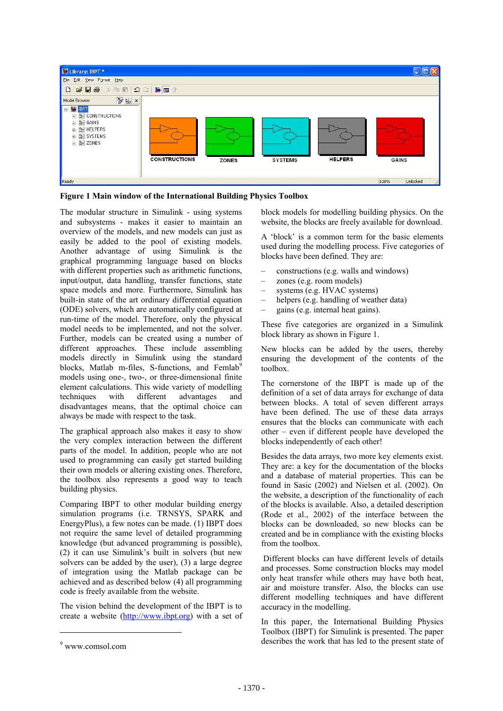

**Figure 1 Main window of the International Building Physics Toolbox**

The modular structure in Simulink - using systems and subsystems - makes it easier to maintain an overview of the models, and new models can just as easily be added to the pool of existing models. Another advantage of using Simulink is the graphical programming language based on blocks with different properties such as arithmetic functions. input/output, data handling, transfer functions, state space models and more. Furthermore, Simulink has built-in state of the art ordinary differential equation (ODE) solvers, which are automatically configured at run-time of the model. Therefore, only the physical model needs to be implemented, and not the solver. Further, models can be created using a number of different approaches. These include assembling models directly in Simulink using the standard blocks, Matlab m-files, S-functions, and Femlab<sup>9</sup> models using one-, two-, or three-dimensional finite element calculations. This wide variety of modelling techniques with different advantages and disadvantages means, that the optimal choice can always be made with respect to the task.

The graphical approach also makes it easy to show the very complex interaction between the different parts of the model. In addition, people who are not used to programming can easily get started building their own models or altering existing ones. Therefore, the toolbox also represents a good way to teach building physics.

Comparing IBPT to other modular building energy simulation programs (i.e. TRNSYS, SPARK and EnergyPlus), a few notes can be made. (1) IBPT does not require the same level of detailed programming knowledge (but advanced programming is possible), (2) it can use Simulink's built in solvers (but new solvers can be added by the user), (3) a large degree of integration using the Matlab package can be achieved and as described below (4) all programming code is freely available from the website.

The vision behind the development of the IBPT is to create a website (http://www.ibpt.org) with a set of

 $\overline{\phantom{a}}$ 

block models for modelling building physics. On the website, the blocks are freely available for download.

A 'block' is a common term for the basic elements used during the modelling process. Five categories of blocks have been defined. They are:

- constructions (e.g. walls and windows)
- zones (e.g. room models)
- systems (e.g. HVAC systems)
- helpers (e.g. handling of weather data)
- gains (e.g. internal heat gains).

These five categories are organized in a Simulink block library as shown in Figure 1.

New blocks can be added by the users, thereby ensuring the development of the contents of the toolbox.

The cornerstone of the IBPT is made up of the definition of a set of data arrays for exchange of data between blocks. A total of seven different arrays have been defined. The use of these data arrays ensures that the blocks can communicate with each other – even if different people have developed the blocks independently of each other!

Besides the data arrays, two more key elements exist. They are: a key for the documentation of the blocks and a database of material properties. This can be found in Sasic (2002) and Nielsen et al. (2002). On the website, a description of the functionality of each of the blocks is available. Also, a detailed description (Rode et al., 2002) of the interface between the blocks can be downloaded, so new blocks can be created and be in compliance with the existing blocks from the toolbox.

Different blocks can have different levels of details and processes. Some construction blocks may model only heat transfer while others may have both heat, air and moisture transfer. Also, the blocks can use different modelling techniques and have different accuracy in the modelling.

In this paper, the International Building Physics Toolbox (IBPT) for Simulink is presented. The paper describes the work that has led to the present state of

<sup>9</sup> www.comsol.com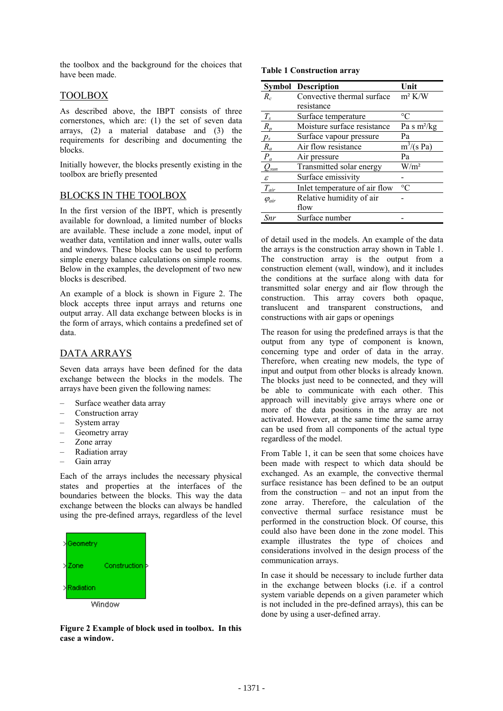the toolbox and the background for the choices that have been made.

# TOOLBOX

As described above, the IBPT consists of three cornerstones, which are: (1) the set of seven data arrays, (2) a material database and (3) the requirements for describing and documenting the blocks.

Initially however, the blocks presently existing in the toolbox are briefly presented

### BLOCKS IN THE TOOLBOX

In the first version of the IBPT, which is presently available for download, a limited number of blocks are available. These include a zone model, input of weather data, ventilation and inner walls, outer walls and windows. These blocks can be used to perform simple energy balance calculations on simple rooms. Below in the examples, the development of two new blocks is described.

An example of a block is shown in Figure 2. The block accepts three input arrays and returns one output array. All data exchange between blocks is in the form of arrays, which contains a predefined set of data.

# DATA ARRAYS

Seven data arrays have been defined for the data exchange between the blocks in the models. The arrays have been given the following names:

- Surface weather data array
- Construction array
- System array
- Geometry array
- Zone array
- Radiation array
- Gain array

Each of the arrays includes the necessary physical states and properties at the interfaces of the boundaries between the blocks. This way the data exchange between the blocks can always be handled using the pre-defined arrays, regardless of the level



**Figure 2 Example of block used in toolbox. In this case a window.** 

**Table 1 Construction array** 

|                            | <b>Symbol Description</b>     | Unit             |
|----------------------------|-------------------------------|------------------|
| $R_c$                      | Convective thermal surface    | $m^2$ K/W        |
|                            | resistance                    |                  |
| $T_{s}$                    | Surface temperature           | $^{\circ}C$      |
| $R_p$                      | Moisture surface resistance   | Pa s $m^2/kg$    |
| $p_{s}$                    | Surface vapour pressure       | Pa               |
| $R_a$                      | Air flow resistance           | $m^3/(s$ Pa)     |
| $P_a$                      | Air pressure                  | Pa               |
| $Q_{sun}$                  | Transmitted solar energy      | W/m <sup>2</sup> |
| $\boldsymbol{\mathcal{E}}$ | Surface emissivity            |                  |
| $T_{\rm dir}$              | Inlet temperature of air flow | $\rm ^{\circ}C$  |
| $\varphi_{air}$            | Relative humidity of air      |                  |
|                            | flow                          |                  |
| Snr                        | Surface number                |                  |

of detail used in the models. An example of the data the arrays is the construction array shown in Table 1. The construction array is the output from a construction element (wall, window), and it includes the conditions at the surface along with data for transmitted solar energy and air flow through the construction. This array covers both opaque, translucent and transparent constructions, and constructions with air gaps or openings

The reason for using the predefined arrays is that the output from any type of component is known, concerning type and order of data in the array. Therefore, when creating new models, the type of input and output from other blocks is already known. The blocks just need to be connected, and they will be able to communicate with each other. This approach will inevitably give arrays where one or more of the data positions in the array are not activated. However, at the same time the same array can be used from all components of the actual type regardless of the model.

From Table 1, it can be seen that some choices have been made with respect to which data should be exchanged. As an example, the convective thermal surface resistance has been defined to be an output from the construction – and not an input from the zone array. Therefore, the calculation of the convective thermal surface resistance must be performed in the construction block. Of course, this could also have been done in the zone model. This example illustrates the type of choices and considerations involved in the design process of the communication arrays.

In case it should be necessary to include further data in the exchange between blocks (i.e. if a control system variable depends on a given parameter which is not included in the pre-defined arrays), this can be done by using a user-defined array.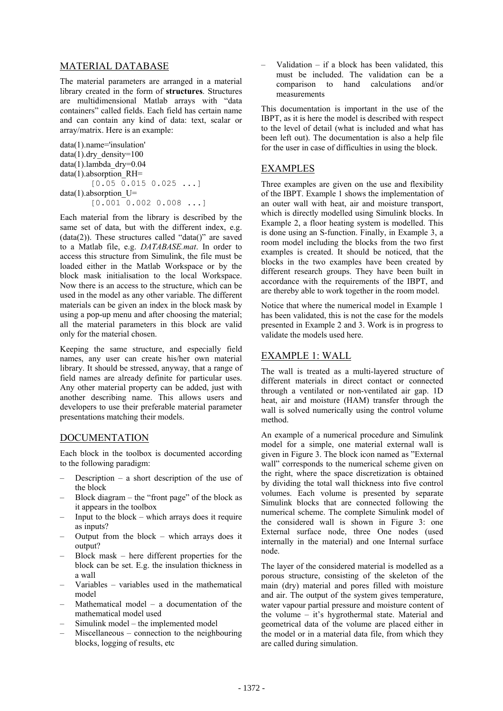# MATERIAL DATABASE

The material parameters are arranged in a material library created in the form of **structures**. Structures are multidimensional Matlab arrays with "data containers" called fields. Each field has certain name and can contain any kind of data: text, scalar or array/matrix. Here is an example:

```
data(1) name='insulation'
data(1).dry density=100
data(1).lambda_dry=0.04 
data(1).absorption RH=
         [0.05 \ \overline{0.015} \ 0.025 \ \ldots]data(1).absorption U=
         [0.001 \ 0.002 \ 0.008 \ ...]
```
Each material from the library is described by the same set of data, but with the different index, e.g. (data(2)). These structures called "data()" are saved to a Matlab file, e.g. *DATABASE.mat*. In order to access this structure from Simulink, the file must be loaded either in the Matlab Workspace or by the block mask initialisation to the local Workspace. Now there is an access to the structure, which can be used in the model as any other variable. The different materials can be given an index in the block mask by using a pop-up menu and after choosing the material; all the material parameters in this block are valid only for the material chosen.

Keeping the same structure, and especially field names, any user can create his/her own material library. It should be stressed, anyway, that a range of field names are already definite for particular uses. Any other material property can be added, just with another describing name. This allows users and developers to use their preferable material parameter presentations matching their models.

# DOCUMENTATION

Each block in the toolbox is documented according to the following paradigm:

- Description a short description of the use of the block
- Block diagram the "front page" of the block as it appears in the toolbox
- Input to the block  $-$  which arrays does it require as inputs?
- Output from the block which arrays does it output?
- Block mask here different properties for the block can be set. E.g. the insulation thickness in a wall
- Variables variables used in the mathematical model
- Mathematical model a documentation of the mathematical model used
- Simulink model the implemented model
- Miscellaneous connection to the neighbouring blocks, logging of results, etc

Validation  $-$  if a block has been validated, this must be included. The validation can be a comparison to hand calculations and/or measurements

This documentation is important in the use of the IBPT, as it is here the model is described with respect to the level of detail (what is included and what has been left out). The documentation is also a help file for the user in case of difficulties in using the block.

### EXAMPLES

Three examples are given on the use and flexibility of the IBPT. Example 1 shows the implementation of an outer wall with heat, air and moisture transport, which is directly modelled using Simulink blocks. In Example 2, a floor heating system is modelled. This is done using an S-function. Finally, in Example 3, a room model including the blocks from the two first examples is created. It should be noticed, that the blocks in the two examples have been created by different research groups. They have been built in accordance with the requirements of the IBPT, and are thereby able to work together in the room model.

Notice that where the numerical model in Example 1 has been validated, this is not the case for the models presented in Example 2 and 3. Work is in progress to validate the models used here.

# EXAMPLE 1: WALL

The wall is treated as a multi-layered structure of different materials in direct contact or connected through a ventilated or non-ventilated air gap. 1D heat, air and moisture (HAM) transfer through the wall is solved numerically using the control volume method.

An example of a numerical procedure and Simulink model for a simple, one material external wall is given in Figure 3. The block icon named as "External wall" corresponds to the numerical scheme given on the right, where the space discretization is obtained by dividing the total wall thickness into five control volumes. Each volume is presented by separate Simulink blocks that are connected following the numerical scheme. The complete Simulink model of the considered wall is shown in Figure 3: one External surface node, three One nodes (used internally in the material) and one Internal surface node.

The layer of the considered material is modelled as a porous structure, consisting of the skeleton of the main (dry) material and pores filled with moisture and air. The output of the system gives temperature, water vapour partial pressure and moisture content of the volume – it's hygrothermal state. Material and geometrical data of the volume are placed either in the model or in a material data file, from which they are called during simulation.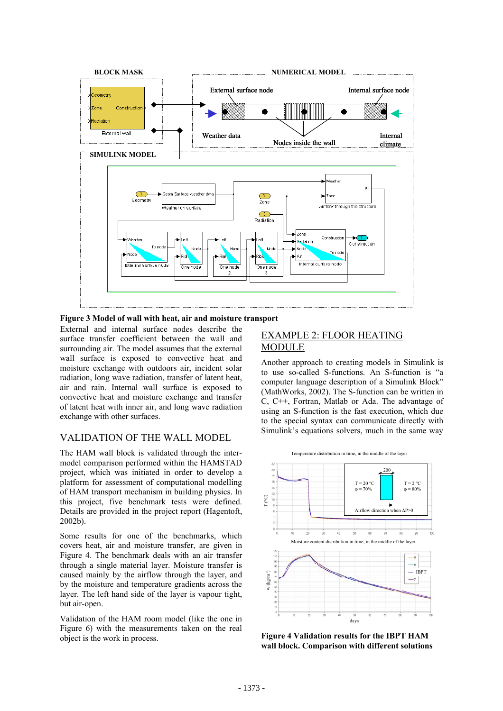

**Figure 3 Model of wall with heat, air and moisture transport** 

External and internal surface nodes describe the surface transfer coefficient between the wall and surrounding air. The model assumes that the external wall surface is exposed to convective heat and moisture exchange with outdoors air, incident solar radiation, long wave radiation, transfer of latent heat, air and rain. Internal wall surface is exposed to convective heat and moisture exchange and transfer of latent heat with inner air, and long wave radiation exchange with other surfaces.

# VALIDATION OF THE WALL MODEL

The HAM wall block is validated through the intermodel comparison performed within the HAMSTAD project, which was initiated in order to develop a platform for assessment of computational modelling of HAM transport mechanism in building physics. In this project, five benchmark tests were defined. Details are provided in the project report (Hagentoft, 2002b).

Some results for one of the benchmarks, which covers heat, air and moisture transfer, are given in Figure 4. The benchmark deals with an air transfer through a single material layer. Moisture transfer is caused mainly by the airflow through the layer, and by the moisture and temperature gradients across the layer. The left hand side of the layer is vapour tight, but air-open.

Validation of the HAM room model (like the one in Figure 6) with the measurements taken on the real object is the work in process.

# EXAMPLE 2: FLOOR HEATING MODULE

Another approach to creating models in Simulink is to use so-called S-functions. An S-function is "a computer language description of a Simulink Block" (MathWorks, 2002). The S-function can be written in C, C++, Fortran, Matlab or Ada. The advantage of using an S-function is the fast execution, which due to the special syntax can communicate directly with Simulink's equations solvers, much in the same way



**Figure 4 Validation results for the IBPT HAM wall block. Comparison with different solutions**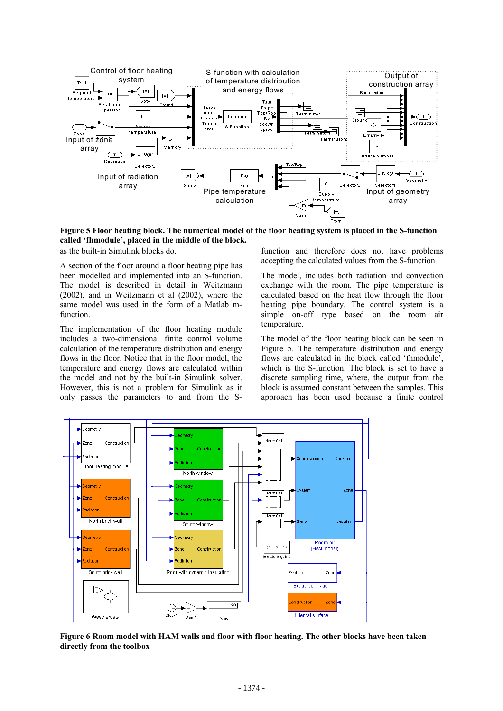

**Figure 5 Floor heating block. The numerical model of the floor heating system is placed in the S-function called 'fhmodule', placed in the middle of the block.** 

as the built-in Simulink blocks do.

A section of the floor around a floor heating pipe has been modelled and implemented into an S-function. The model is described in detail in Weitzmann (2002), and in Weitzmann et al (2002), where the same model was used in the form of a Matlab mfunction.

The implementation of the floor heating module includes a two-dimensional finite control volume calculation of the temperature distribution and energy flows in the floor. Notice that in the floor model, the temperature and energy flows are calculated within the model and not by the built-in Simulink solver. However, this is not a problem for Simulink as it only passes the parameters to and from the S-

function and therefore does not have problems accepting the calculated values from the S-function

The model, includes both radiation and convection exchange with the room. The pipe temperature is calculated based on the heat flow through the floor heating pipe boundary. The control system is a simple on-off type based on the room air temperature.

The model of the floor heating block can be seen in Figure 5. The temperature distribution and energy flows are calculated in the block called 'fhmodule', which is the S-function. The block is set to have a discrete sampling time, where, the output from the block is assumed constant between the samples. This approach has been used because a finite control



**Figure 6 Room model with HAM walls and floor with floor heating. The other blocks have been taken directly from the toolbox**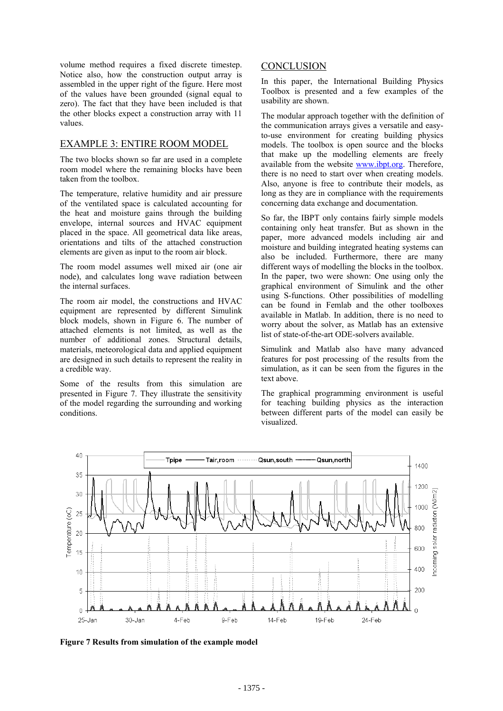volume method requires a fixed discrete timestep. Notice also, how the construction output array is assembled in the upper right of the figure. Here most of the values have been grounded (signal equal to zero). The fact that they have been included is that the other blocks expect a construction array with 11 values.

#### EXAMPLE 3: ENTIRE ROOM MODEL

The two blocks shown so far are used in a complete room model where the remaining blocks have been taken from the toolbox.

The temperature, relative humidity and air pressure of the ventilated space is calculated accounting for the heat and moisture gains through the building envelope, internal sources and HVAC equipment placed in the space. All geometrical data like areas, orientations and tilts of the attached construction elements are given as input to the room air block.

The room model assumes well mixed air (one air node), and calculates long wave radiation between the internal surfaces.

The room air model, the constructions and HVAC equipment are represented by different Simulink block models, shown in Figure 6. The number of attached elements is not limited, as well as the number of additional zones. Structural details, materials, meteorological data and applied equipment are designed in such details to represent the reality in a credible way.

Some of the results from this simulation are presented in Figure 7. They illustrate the sensitivity of the model regarding the surrounding and working conditions.

#### **CONCLUSION**

In this paper, the International Building Physics Toolbox is presented and a few examples of the usability are shown.

The modular approach together with the definition of the communication arrays gives a versatile and easyto-use environment for creating building physics models. The toolbox is open source and the blocks that make up the modelling elements are freely available from the website www.ibpt.org. Therefore, there is no need to start over when creating models. Also, anyone is free to contribute their models, as long as they are in compliance with the requirements concerning data exchange and documentation.

So far, the IBPT only contains fairly simple models containing only heat transfer. But as shown in the paper, more advanced models including air and moisture and building integrated heating systems can also be included. Furthermore, there are many different ways of modelling the blocks in the toolbox. In the paper, two were shown: One using only the graphical environment of Simulink and the other using S-functions. Other possibilities of modelling can be found in Femlab and the other toolboxes available in Matlab. In addition, there is no need to worry about the solver, as Matlab has an extensive list of state-of-the-art ODE-solvers available.

Simulink and Matlab also have many advanced features for post processing of the results from the simulation, as it can be seen from the figures in the text above.

The graphical programming environment is useful for teaching building physics as the interaction between different parts of the model can easily be visualized.



**Figure 7 Results from simulation of the example model**